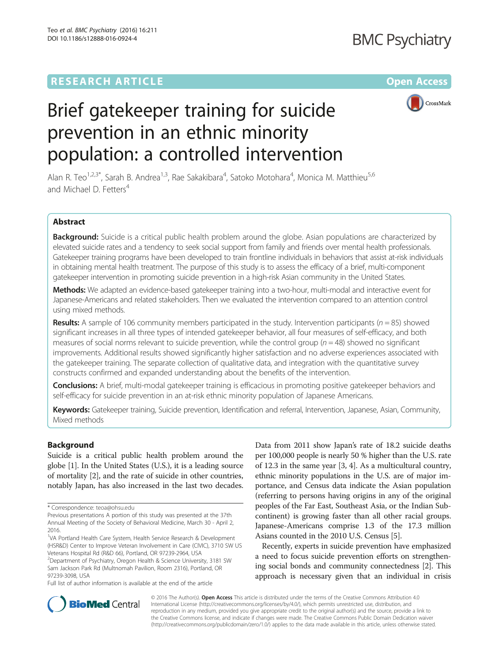# **RESEARCH ARTICLE External Structure Community Community Community Community Community Community Community Community**



# Brief gatekeeper training for suicide prevention in an ethnic minority population: a controlled intervention

Alan R. Teo<sup>1,2,3\*</sup>, Sarah B. Andrea<sup>1,3</sup>, Rae Sakakibara<sup>4</sup>, Satoko Motohara<sup>4</sup>, Monica M. Matthieu<sup>5,6</sup> and Michael D. Fetters<sup>4</sup>

# Abstract

Background: Suicide is a critical public health problem around the globe. Asian populations are characterized by elevated suicide rates and a tendency to seek social support from family and friends over mental health professionals. Gatekeeper training programs have been developed to train frontline individuals in behaviors that assist at-risk individuals in obtaining mental health treatment. The purpose of this study is to assess the efficacy of a brief, multi-component gatekeeper intervention in promoting suicide prevention in a high-risk Asian community in the United States.

Methods: We adapted an evidence-based gatekeeper training into a two-hour, multi-modal and interactive event for Japanese-Americans and related stakeholders. Then we evaluated the intervention compared to an attention control using mixed methods.

**Results:** A sample of 106 community members participated in the study. Intervention participants ( $n = 85$ ) showed significant increases in all three types of intended gatekeeper behavior, all four measures of self-efficacy, and both measures of social norms relevant to suicide prevention, while the control group ( $n = 48$ ) showed no significant improvements. Additional results showed significantly higher satisfaction and no adverse experiences associated with the gatekeeper training. The separate collection of qualitative data, and integration with the quantitative survey constructs confirmed and expanded understanding about the benefits of the intervention.

Conclusions: A brief, multi-modal gatekeeper training is efficacious in promoting positive gatekeeper behaviors and self-efficacy for suicide prevention in an at-risk ethnic minority population of Japanese Americans.

Keywords: Gatekeeper training, Suicide prevention, Identification and referral, Intervention, Japanese, Asian, Community, Mixed methods

# Background

Suicide is a critical public health problem around the globe [\[1](#page-7-0)]. In the United States (U.S.), it is a leading source of mortality [\[2\]](#page-7-0), and the rate of suicide in other countries, notably Japan, has also increased in the last two decades.

Previous presentations A portion of this study was presented at the 37th Annual Meeting of the Society of Behavioral Medicine, March 30 - April 2, 2016.

2 Department of Psychiatry, Oregon Health & Science University, 3181 SW Sam Jackson Park Rd (Multnomah Pavilion, Room 2316), Portland, OR 97239-3098, USA

Full list of author information is available at the end of the article

Data from 2011 show Japan's rate of 18.2 suicide deaths per 100,000 people is nearly 50 % higher than the U.S. rate of 12.3 in the same year [\[3, 4\]](#page-7-0). As a multicultural country, ethnic minority populations in the U.S. are of major importance, and Census data indicate the Asian population (referring to persons having origins in any of the original peoples of the Far East, Southeast Asia, or the Indian Subcontinent) is growing faster than all other racial groups. Japanese-Americans comprise 1.3 of the 17.3 million Asians counted in the 2010 U.S. Census [[5\]](#page-7-0).

Recently, experts in suicide prevention have emphasized a need to focus suicide prevention efforts on strengthening social bonds and community connectedness [\[2](#page-7-0)]. This approach is necessary given that an individual in crisis



© 2016 The Author(s). Open Access This article is distributed under the terms of the Creative Commons Attribution 4.0 International License [\(http://creativecommons.org/licenses/by/4.0/](http://creativecommons.org/licenses/by/4.0/)), which permits unrestricted use, distribution, and reproduction in any medium, provided you give appropriate credit to the original author(s) and the source, provide a link to the Creative Commons license, and indicate if changes were made. The Creative Commons Public Domain Dedication waiver [\(http://creativecommons.org/publicdomain/zero/1.0/](http://creativecommons.org/publicdomain/zero/1.0/)) applies to the data made available in this article, unless otherwise stated.

<sup>\*</sup> Correspondence: [teoa@ohsu.edu](mailto:teoa@ohsu.edu)

<sup>&</sup>lt;sup>1</sup>VA Portland Health Care System, Health Service Research & Development (HSR&D) Center to Improve Veteran Involvement in Care (CIVIC), 3710 SW US Veterans Hospital Rd (R&D 66), Portland, OR 97239-2964, USA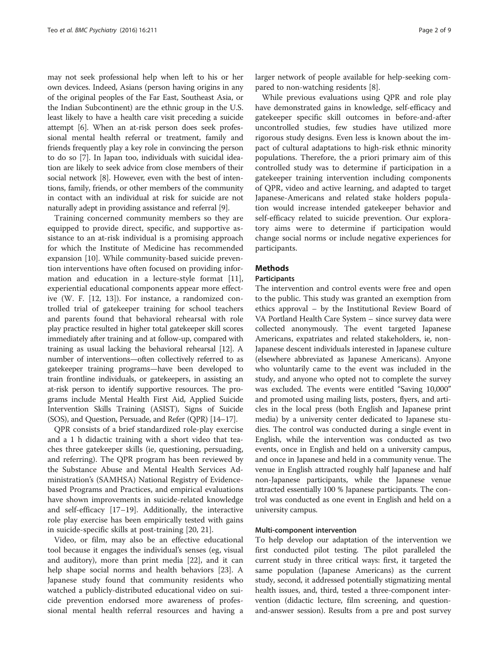may not seek professional help when left to his or her own devices. Indeed, Asians (person having origins in any of the original peoples of the Far East, Southeast Asia, or the Indian Subcontinent) are the ethnic group in the U.S. least likely to have a health care visit preceding a suicide attempt [[6\]](#page-7-0). When an at-risk person does seek professional mental health referral or treatment, family and friends frequently play a key role in convincing the person to do so [\[7](#page-7-0)]. In Japan too, individuals with suicidal ideation are likely to seek advice from close members of their social network [\[8\]](#page-7-0). However, even with the best of intentions, family, friends, or other members of the community in contact with an individual at risk for suicide are not naturally adept in providing assistance and referral [\[9](#page-7-0)].

Training concerned community members so they are equipped to provide direct, specific, and supportive assistance to an at-risk individual is a promising approach for which the Institute of Medicine has recommended expansion [\[10](#page-7-0)]. While community-based suicide prevention interventions have often focused on providing information and education in a lecture-style format [\[11](#page-7-0)], experiential educational components appear more effective (W. F. [[12, 13\]](#page-7-0)). For instance, a randomized controlled trial of gatekeeper training for school teachers and parents found that behavioral rehearsal with role play practice resulted in higher total gatekeeper skill scores immediately after training and at follow-up, compared with training as usual lacking the behavioral rehearsal [[12](#page-7-0)]. A number of interventions—often collectively referred to as gatekeeper training programs—have been developed to train frontline individuals, or gatekeepers, in assisting an at-risk person to identify supportive resources. The programs include Mental Health First Aid, Applied Suicide Intervention Skills Training (ASIST), Signs of Suicide (SOS), and Question, Persuade, and Refer (QPR) [[14](#page-7-0)–[17\]](#page-8-0).

QPR consists of a brief standardized role-play exercise and a 1 h didactic training with a short video that teaches three gatekeeper skills (ie, questioning, persuading, and referring). The QPR program has been reviewed by the Substance Abuse and Mental Health Services Administration's (SAMHSA) National Registry of Evidencebased Programs and Practices, and empirical evaluations have shown improvements in suicide-related knowledge and self-efficacy [\[17](#page-8-0)–[19\]](#page-8-0). Additionally, the interactive role play exercise has been empirically tested with gains in suicide-specific skills at post-training [[20, 21\]](#page-8-0).

Video, or film, may also be an effective educational tool because it engages the individual's senses (eg, visual and auditory), more than print media [\[22](#page-8-0)], and it can help shape social norms and health behaviors [\[23](#page-8-0)]. A Japanese study found that community residents who watched a publicly-distributed educational video on suicide prevention endorsed more awareness of professional mental health referral resources and having a larger network of people available for help-seeking compared to non-watching residents [[8\]](#page-7-0).

While previous evaluations using QPR and role play have demonstrated gains in knowledge, self-efficacy and gatekeeper specific skill outcomes in before-and-after uncontrolled studies, few studies have utilized more rigorous study designs. Even less is known about the impact of cultural adaptations to high-risk ethnic minority populations. Therefore, the a priori primary aim of this controlled study was to determine if participation in a gatekeeper training intervention including components of QPR, video and active learning, and adapted to target Japanese-Americans and related stake holders population would increase intended gatekeeper behavior and self-efficacy related to suicide prevention. Our exploratory aims were to determine if participation would change social norms or include negative experiences for participants.

# Methods

# **Participants**

The intervention and control events were free and open to the public. This study was granted an exemption from ethics approval – by the Institutional Review Board of VA Portland Health Care System – since survey data were collected anonymously. The event targeted Japanese Americans, expatriates and related stakeholders, ie, non-Japanese descent individuals interested in Japanese culture (elsewhere abbreviated as Japanese Americans). Anyone who voluntarily came to the event was included in the study, and anyone who opted not to complete the survey was excluded. The events were entitled "Saving 10,000" and promoted using mailing lists, posters, flyers, and articles in the local press (both English and Japanese print media) by a university center dedicated to Japanese studies. The control was conducted during a single event in English, while the intervention was conducted as two events, once in English and held on a university campus, and once in Japanese and held in a community venue. The venue in English attracted roughly half Japanese and half non-Japanese participants, while the Japanese venue attracted essentially 100 % Japanese participants. The control was conducted as one event in English and held on a university campus.

# Multi-component intervention

To help develop our adaptation of the intervention we first conducted pilot testing. The pilot paralleled the current study in three critical ways: first, it targeted the same population (Japanese Americans) as the current study, second, it addressed potentially stigmatizing mental health issues, and, third, tested a three-component intervention (didactic lecture, film screening, and questionand-answer session). Results from a pre and post survey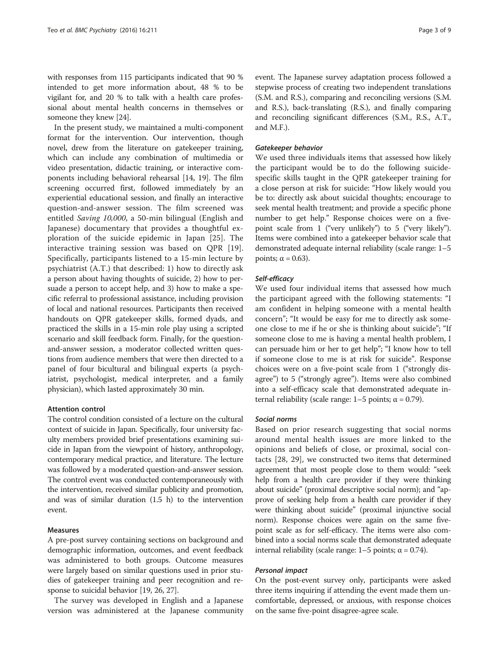with responses from 115 participants indicated that 90 % intended to get more information about, 48 % to be vigilant for, and 20 % to talk with a health care professional about mental health concerns in themselves or someone they knew [[24](#page-8-0)].

In the present study, we maintained a multi-component format for the intervention. Our intervention, though novel, drew from the literature on gatekeeper training, which can include any combination of multimedia or video presentation, didactic training, or interactive components including behavioral rehearsal [\[14,](#page-7-0) [19](#page-8-0)]. The film screening occurred first, followed immediately by an experiential educational session, and finally an interactive question-and-answer session. The film screened was entitled Saving 10,000, a 50-min bilingual (English and Japanese) documentary that provides a thoughtful exploration of the suicide epidemic in Japan [\[25](#page-8-0)]. The interactive training session was based on QPR [\[19](#page-8-0)]. Specifically, participants listened to a 15-min lecture by psychiatrist (A.T.) that described: 1) how to directly ask a person about having thoughts of suicide, 2) how to persuade a person to accept help, and 3) how to make a specific referral to professional assistance, including provision of local and national resources. Participants then received handouts on QPR gatekeeper skills, formed dyads, and practiced the skills in a 15-min role play using a scripted scenario and skill feedback form. Finally, for the questionand-answer session, a moderator collected written questions from audience members that were then directed to a panel of four bicultural and bilingual experts (a psychiatrist, psychologist, medical interpreter, and a family physician), which lasted approximately 30 min.

### Attention control

The control condition consisted of a lecture on the cultural context of suicide in Japan. Specifically, four university faculty members provided brief presentations examining suicide in Japan from the viewpoint of history, anthropology, contemporary medical practice, and literature. The lecture was followed by a moderated question-and-answer session. The control event was conducted contemporaneously with the intervention, received similar publicity and promotion, and was of similar duration (1.5 h) to the intervention event.

# Measures

A pre-post survey containing sections on background and demographic information, outcomes, and event feedback was administered to both groups. Outcome measures were largely based on similar questions used in prior studies of gatekeeper training and peer recognition and response to suicidal behavior [[19, 26, 27](#page-8-0)].

The survey was developed in English and a Japanese version was administered at the Japanese community event. The Japanese survey adaptation process followed a stepwise process of creating two independent translations (S.M. and R.S.), comparing and reconciling versions (S.M. and R.S.), back-translating (R.S.), and finally comparing and reconciling significant differences (S.M., R.S., A.T., and M.F.).

## Gatekeeper behavior

We used three individuals items that assessed how likely the participant would be to do the following suicidespecific skills taught in the QPR gatekeeper training for a close person at risk for suicide: "How likely would you be to: directly ask about suicidal thoughts; encourage to seek mental health treatment; and provide a specific phone number to get help." Response choices were on a fivepoint scale from 1 ("very unlikely") to 5 ("very likely"). Items were combined into a gatekeeper behavior scale that demonstrated adequate internal reliability (scale range: 1–5 points;  $\alpha = 0.63$ ).

# Self-efficacy

We used four individual items that assessed how much the participant agreed with the following statements: "I am confident in helping someone with a mental health concern"; "It would be easy for me to directly ask someone close to me if he or she is thinking about suicide"; "If someone close to me is having a mental health problem, I can persuade him or her to get help"; "I know how to tell if someone close to me is at risk for suicide". Response choices were on a five-point scale from 1 ("strongly disagree") to 5 ("strongly agree"). Items were also combined into a self-efficacy scale that demonstrated adequate internal reliability (scale range:  $1-5$  points;  $\alpha = 0.79$ ).

#### Social norms

Based on prior research suggesting that social norms around mental health issues are more linked to the opinions and beliefs of close, or proximal, social contacts [\[28](#page-8-0), [29](#page-8-0)], we constructed two items that determined agreement that most people close to them would: "seek help from a health care provider if they were thinking about suicide" (proximal descriptive social norm); and "approve of seeking help from a health care provider if they were thinking about suicide" (proximal injunctive social norm). Response choices were again on the same fivepoint scale as for self-efficacy. The items were also combined into a social norms scale that demonstrated adequate internal reliability (scale range:  $1-5$  points;  $\alpha = 0.74$ ).

# Personal impact

On the post-event survey only, participants were asked three items inquiring if attending the event made them uncomfortable, depressed, or anxious, with response choices on the same five-point disagree-agree scale.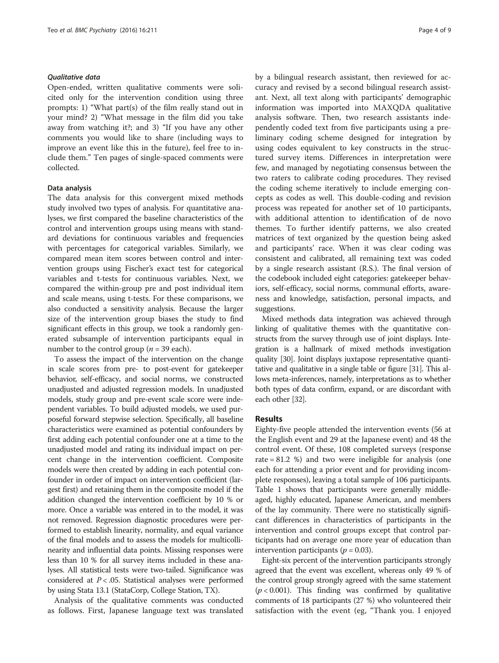# Qualitative data

Open-ended, written qualitative comments were solicited only for the intervention condition using three prompts: 1) "What part(s) of the film really stand out in your mind? 2) "What message in the film did you take away from watching it?; and 3) "If you have any other comments you would like to share (including ways to improve an event like this in the future), feel free to include them." Ten pages of single-spaced comments were collected.

# Data analysis

The data analysis for this convergent mixed methods study involved two types of analysis. For quantitative analyses, we first compared the baseline characteristics of the control and intervention groups using means with standard deviations for continuous variables and frequencies with percentages for categorical variables. Similarly, we compared mean item scores between control and intervention groups using Fischer's exact test for categorical variables and t-tests for continuous variables. Next, we compared the within-group pre and post individual item and scale means, using t-tests. For these comparisons, we also conducted a sensitivity analysis. Because the larger size of the intervention group biases the study to find significant effects in this group, we took a randomly generated subsample of intervention participants equal in number to the control group ( $n = 39$  each).

To assess the impact of the intervention on the change in scale scores from pre- to post-event for gatekeeper behavior, self-efficacy, and social norms, we constructed unadjusted and adjusted regression models. In unadjusted models, study group and pre-event scale score were independent variables. To build adjusted models, we used purposeful forward stepwise selection. Specifically, all baseline characteristics were examined as potential confounders by first adding each potential confounder one at a time to the unadjusted model and rating its individual impact on percent change in the intervention coefficient. Composite models were then created by adding in each potential confounder in order of impact on intervention coefficient (largest first) and retaining them in the composite model if the addition changed the intervention coefficient by 10 % or more. Once a variable was entered in to the model, it was not removed. Regression diagnostic procedures were performed to establish linearity, normality, and equal variance of the final models and to assess the models for multicollinearity and influential data points. Missing responses were less than 10 % for all survey items included in these analyses. All statistical tests were two-tailed. Significance was considered at  $P < .05$ . Statistical analyses were performed by using Stata 13.1 (StataCorp, College Station, TX).

Analysis of the qualitative comments was conducted as follows. First, Japanese language text was translated by a bilingual research assistant, then reviewed for accuracy and revised by a second bilingual research assistant. Next, all text along with participants' demographic information was imported into MAXQDA qualitative analysis software. Then, two research assistants independently coded text from five participants using a preliminary coding scheme designed for integration by using codes equivalent to key constructs in the structured survey items. Differences in interpretation were few, and managed by negotiating consensus between the two raters to calibrate coding procedures. They revised the coding scheme iteratively to include emerging concepts as codes as well. This double-coding and revision process was repeated for another set of 10 participants, with additional attention to identification of de novo themes. To further identify patterns, we also created matrices of text organized by the question being asked and participants' race. When it was clear coding was consistent and calibrated, all remaining text was coded by a single research assistant (R.S.). The final version of the codebook included eight categories: gatekeeper behaviors, self-efficacy, social norms, communal efforts, awareness and knowledge, satisfaction, personal impacts, and suggestions.

Mixed methods data integration was achieved through linking of qualitative themes with the quantitative constructs from the survey through use of joint displays. Integration is a hallmark of mixed methods investigation quality [[30](#page-8-0)]. Joint displays juxtapose representative quantitative and qualitative in a single table or figure [\[31\]](#page-8-0). This allows meta-inferences, namely, interpretations as to whether both types of data confirm, expand, or are discordant with each other [\[32\]](#page-8-0).

### Results

Eighty-five people attended the intervention events (56 at the English event and 29 at the Japanese event) and 48 the control event. Of these, 108 completed surveys (response rate = 81.2 %) and two were ineligible for analysis (one each for attending a prior event and for providing incomplete responses), leaving a total sample of 106 participants. Table [1](#page-4-0) shows that participants were generally middleaged, highly educated, Japanese American, and members of the lay community. There were no statistically significant differences in characteristics of participants in the intervention and control groups except that control participants had on average one more year of education than intervention participants ( $p = 0.03$ ).

Eight-six percent of the intervention participants strongly agreed that the event was excellent, whereas only 49 % of the control group strongly agreed with the same statement  $(p < 0.001)$ . This finding was confirmed by qualitative comments of 18 participants (27 %) who volunteered their satisfaction with the event (eg, "Thank you. I enjoyed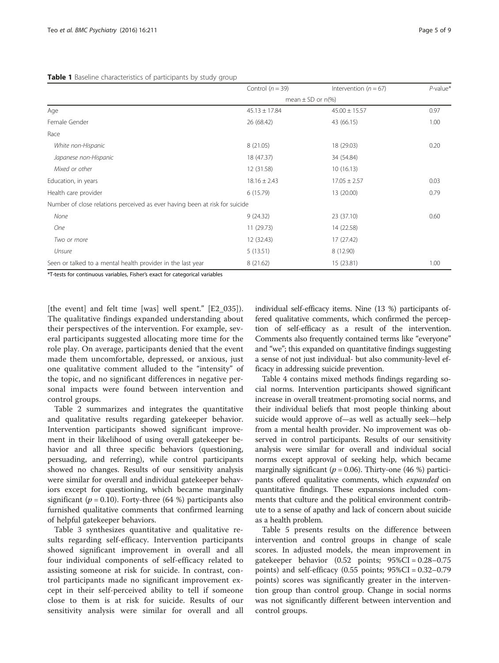<span id="page-4-0"></span>

|                                                                             | Control $(n = 39)$ | Intervention ( $n = 67$ ) | $P$ -value* |
|-----------------------------------------------------------------------------|--------------------|---------------------------|-------------|
|                                                                             |                    | mean $\pm$ SD or n(%)     |             |
| Age                                                                         | $45.13 \pm 17.84$  | $45.00 \pm 15.57$         | 0.97        |
| Female Gender                                                               | 26 (68.42)         | 43 (66.15)                | 1.00        |
| Race                                                                        |                    |                           |             |
| White non-Hispanic                                                          | 8 (21.05)          | 18 (29.03)                | 0.20        |
| Japanese non-Hispanic                                                       | 18 (47.37)         | 34 (54.84)                |             |
| Mixed or other                                                              | 12 (31.58)         | 10(16.13)                 |             |
| Education, in years                                                         | $18.16 \pm 2.43$   | $17.05 \pm 2.57$          | 0.03        |
| Health care provider                                                        | 6(15.79)           | 13 (20.00)                | 0.79        |
| Number of close relations perceived as ever having been at risk for suicide |                    |                           |             |
| None                                                                        | 9(24.32)           | 23 (37.10)                | 0.60        |
| <b>One</b>                                                                  | 11 (29.73)         | 14 (22.58)                |             |
| Two or more                                                                 | 12 (32.43)         | 17 (27.42)                |             |
| Unsure                                                                      | 5(13.51)           | 8 (12.90)                 |             |
| Seen or talked to a mental health provider in the last year                 | 8 (21.62)          | 15 (23.81)                | 1.00        |

\*T-tests for continuous variables, Fisher's exact for categorical variables

[the event] and felt time [was] well spent." [E2\_035]). The qualitative findings expanded understanding about their perspectives of the intervention. For example, several participants suggested allocating more time for the role play. On average, participants denied that the event made them uncomfortable, depressed, or anxious, just one qualitative comment alluded to the "intensity" of the topic, and no significant differences in negative personal impacts were found between intervention and control groups.

Table [2](#page-5-0) summarizes and integrates the quantitative and qualitative results regarding gatekeeper behavior. Intervention participants showed significant improvement in their likelihood of using overall gatekeeper behavior and all three specific behaviors (questioning, persuading, and referring), while control participants showed no changes. Results of our sensitivity analysis were similar for overall and individual gatekeeper behaviors except for questioning, which became marginally significant ( $p = 0.10$ ). Forty-three (64 %) participants also furnished qualitative comments that confirmed learning of helpful gatekeeper behaviors.

Table [3](#page-5-0) synthesizes quantitative and qualitative results regarding self-efficacy. Intervention participants showed significant improvement in overall and all four individual components of self-efficacy related to assisting someone at risk for suicide. In contrast, control participants made no significant improvement except in their self-perceived ability to tell if someone close to them is at risk for suicide. Results of our sensitivity analysis were similar for overall and all

individual self-efficacy items. Nine (13 %) participants offered qualitative comments, which confirmed the perception of self-efficacy as a result of the intervention. Comments also frequently contained terms like "everyone" and "we"; this expanded on quantitative findings suggesting a sense of not just individual- but also community-level efficacy in addressing suicide prevention.

Table [4](#page-6-0) contains mixed methods findings regarding social norms. Intervention participants showed significant increase in overall treatment-promoting social norms, and their individual beliefs that most people thinking about suicide would approve of—as well as actually seek—help from a mental health provider. No improvement was observed in control participants. Results of our sensitivity analysis were similar for overall and individual social norms except approval of seeking help, which became marginally significant ( $p = 0.06$ ). Thirty-one (46 %) participants offered qualitative comments, which expanded on quantitative findings. These expansions included comments that culture and the political environment contribute to a sense of apathy and lack of concern about suicide as a health problem.

Table [5](#page-6-0) presents results on the difference between intervention and control groups in change of scale scores. In adjusted models, the mean improvement in gatekeeper behavior (0.52 points; 95%CI = 0.28–0.75 points) and self-efficacy (0.55 points; 95%CI = 0.32–0.79 points) scores was significantly greater in the intervention group than control group. Change in social norms was not significantly different between intervention and control groups.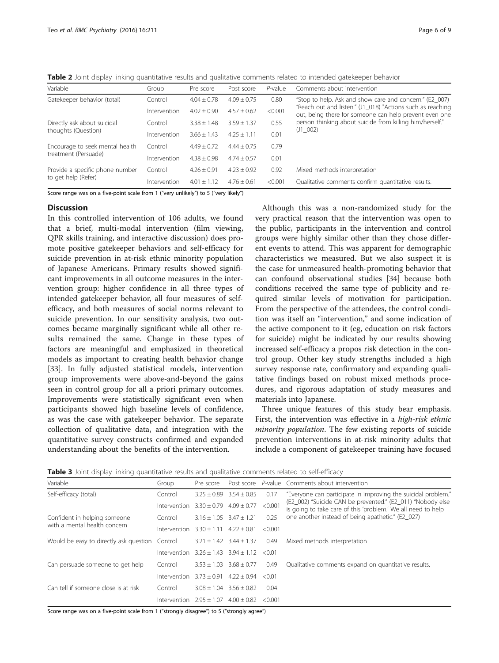<span id="page-5-0"></span>Table 2 Joint display linking quantitative results and qualitative comments related to intended gatekeeper behavior

| Variable                                                | Group        | Pre score     | Post score    | $P$ -value | Comments about intervention                                                                                          |
|---------------------------------------------------------|--------------|---------------|---------------|------------|----------------------------------------------------------------------------------------------------------------------|
| Gatekeeper behavior (total)                             | Control      | $4.04 + 0.78$ | $4.09 + 0.75$ | 0.80       | "Stop to help. Ask and show care and concern." (E2 007)                                                              |
|                                                         | Intervention | $4.02 + 0.90$ | $4.57 + 0.62$ | < 0.001    | "Reach out and listen." (J1_018) "Actions such as reaching<br>out, being there for someone can help prevent even one |
| Directly ask about suicidal                             | Control      | $3.38 + 1.48$ | $3.59 + 1.37$ | 0.55       | person thinking about suicide from killing him/herself."                                                             |
| thoughts (Question)                                     | Intervention | $3.66 + 1.43$ | $4.25 + 1.11$ | 0.01       | $(11_002)$                                                                                                           |
| Encourage to seek mental health<br>treatment (Persuade) | Control      | $4.49 + 0.72$ | $4.44 + 0.75$ | 0.79       |                                                                                                                      |
|                                                         | Intervention | $4.38 + 0.98$ | $4.74 + 0.57$ | 0.01       |                                                                                                                      |
| Provide a specific phone number<br>to get help (Refer)  | Control      | $4.26 + 0.91$ | $4.23 + 0.92$ | 0.92       | Mixed methods interpretation                                                                                         |
|                                                         | Intervention | $401 + 112$   | $476 + 061$   | < 0.001    | Qualitative comments confirm quantitative results.                                                                   |

Score range was on a five-point scale from 1 ("very unlikely") to 5 ("very likely")

# Discussion

In this controlled intervention of 106 adults, we found that a brief, multi-modal intervention (film viewing, QPR skills training, and interactive discussion) does promote positive gatekeeper behaviors and self-efficacy for suicide prevention in at-risk ethnic minority population of Japanese Americans. Primary results showed significant improvements in all outcome measures in the intervention group: higher confidence in all three types of intended gatekeeper behavior, all four measures of selfefficacy, and both measures of social norms relevant to suicide prevention. In our sensitivity analysis, two outcomes became marginally significant while all other results remained the same. Change in these types of factors are meaningful and emphasized in theoretical models as important to creating health behavior change [[33\]](#page-8-0). In fully adjusted statistical models, intervention group improvements were above-and-beyond the gains seen in control group for all a priori primary outcomes. Improvements were statistically significant even when participants showed high baseline levels of confidence, as was the case with gatekeeper behavior. The separate collection of qualitative data, and integration with the quantitative survey constructs confirmed and expanded understanding about the benefits of the intervention.

Although this was a non-randomized study for the very practical reason that the intervention was open to the public, participants in the intervention and control groups were highly similar other than they chose different events to attend. This was apparent for demographic characteristics we measured. But we also suspect it is the case for unmeasured health-promoting behavior that can confound observational studies [[34](#page-8-0)] because both conditions received the same type of publicity and required similar levels of motivation for participation. From the perspective of the attendees, the control condition was itself an "intervention," and some indication of the active component to it (eg, education on risk factors for suicide) might be indicated by our results showing increased self-efficacy a propos risk detection in the control group. Other key study strengths included a high survey response rate, confirmatory and expanding qualitative findings based on robust mixed methods procedures, and rigorous adaptation of study measures and materials into Japanese.

Three unique features of this study bear emphasis. First, the intervention was effective in a high-risk ethnic minority population. The few existing reports of suicide prevention interventions in at-risk minority adults that include a component of gatekeeper training have focused

|  |  |  |  |  |  |  |  | Table 3 Joint display linking quantitative results and qualitative comments related to self-efficacy |
|--|--|--|--|--|--|--|--|------------------------------------------------------------------------------------------------------|
|--|--|--|--|--|--|--|--|------------------------------------------------------------------------------------------------------|

| Variable                                       | Group                      | Pre score                       | Post score                      |         | P-value Comments about intervention                                                                                        |
|------------------------------------------------|----------------------------|---------------------------------|---------------------------------|---------|----------------------------------------------------------------------------------------------------------------------------|
| Self-efficacy (total)                          | Control                    | $3.25 \pm 0.89$                 | $3.54 \pm 0.85$                 | 0.17    | "Everyone can participate in improving the suicidal problem."                                                              |
|                                                | Intervention               | $3.30 + 0.79$ $4.09 + 0.77$     |                                 | < 0.001 | (E2_002) "Suicide CAN be prevented." (E2_011) "Nobody else<br>is going to take care of this 'problem.' We all need to help |
| Confident in helping someone                   | Control                    | $3.16 \pm 1.05$                 | $3.47 + 1.21$                   | 0.25    | one another instead of being apathetic." (E2_027)                                                                          |
| with a mental health concern                   | Intervention $3.30 + 1.11$ |                                 | $4.22 + 0.81$                   | < 0.001 |                                                                                                                            |
| Would be easy to directly ask question Control |                            | $3.21 \pm 1.42$ $3.44 \pm 1.37$ |                                 | 0.49    | Mixed methods interpretation                                                                                               |
|                                                | Intervention               |                                 | $3.26 \pm 1.43$ $3.94 \pm 1.12$ | < 0.01  |                                                                                                                            |
| Can persuade someone to get help               | Control                    | $3.53 + 1.03$                   | $3.68 \pm 0.77$                 | 0.49    | Qualitative comments expand on quantitative results.                                                                       |
|                                                | Intervention               | $3.73 + 0.91$                   | $4.22 + 0.94$                   | < 0.01  |                                                                                                                            |
| Can tell if someone close is at risk           | Control                    | $3.08 + 1.04$                   | $3.56 + 0.82$                   | 0.04    |                                                                                                                            |
|                                                | Intervention $2.95 + 1.07$ |                                 | $4.00 + 0.82$                   | < 0.001 |                                                                                                                            |

Score range was on a five-point scale from 1 ("strongly disagree") to 5 ("strongly agree")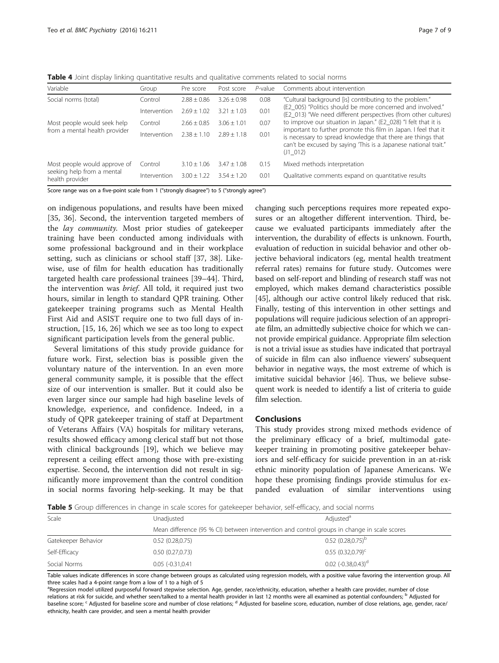<span id="page-6-0"></span>Table 4 Joint display linking quantitative results and qualitative comments related to social norms

| Variable                                      | Group        | Pre score       | Post score    | $P$ -value | Comments about intervention                                                                                                                                                                                      |
|-----------------------------------------------|--------------|-----------------|---------------|------------|------------------------------------------------------------------------------------------------------------------------------------------------------------------------------------------------------------------|
|                                               |              |                 |               |            |                                                                                                                                                                                                                  |
| Social norms (total)                          | Control      | $2.88 + 0.86$   | $3.26 + 0.98$ | 0.08       | "Cultural background [is] contributing to the problem."                                                                                                                                                          |
|                                               | Intervention | $2.69 \pm 1.02$ | $3.21 + 1.03$ | 0.01       | (E2 005) "Politics should be more concerned and involved."<br>(E2 013) "We need different perspectives (from other cultures)                                                                                     |
| Most people would seek help                   | Control      | $2.66 + 0.85$   | $3.06 + 1.01$ | 0.07       | to improve our situation in Japan." (E2 028) "I felt that it is                                                                                                                                                  |
| from a mental health provider                 | Intervention | $2.38 + 1.10$   | $2.89 + 1.18$ | 0.01       | important to further promote this film in Japan. I feel that it<br>is necessary to spread knowledge that there are things that<br>can't be excused by saying This is a Japanese national trait."<br>$(11 \ 012)$ |
| Most people would approve of                  | Control      | $3.10 + 1.06$   | $3.47 + 1.08$ | 0.15       | Mixed methods interpretation                                                                                                                                                                                     |
| seeking help from a mental<br>health provider | Intervention | $3.00 + 1.22$   | $3.54 + 1.20$ | 0.01       | Qualitative comments expand on quantitative results                                                                                                                                                              |

Score range was on a five-point scale from 1 ("strongly disagree") to 5 ("strongly agree")

on indigenous populations, and results have been mixed [[35, 36\]](#page-8-0). Second, the intervention targeted members of the lay community. Most prior studies of gatekeeper training have been conducted among individuals with some professional background and in their workplace setting, such as clinicians or school staff [[37](#page-8-0), [38](#page-8-0)]. Likewise, use of film for health education has traditionally targeted health care professional trainees [\[39](#page-8-0)–[44\]](#page-8-0). Third, the intervention was brief. All told, it required just two hours, similar in length to standard QPR training. Other gatekeeper training programs such as Mental Health First Aid and ASIST require one to two full days of instruction, [[15](#page-7-0), [16](#page-7-0), [26](#page-8-0)] which we see as too long to expect significant participation levels from the general public.

Several limitations of this study provide guidance for future work. First, selection bias is possible given the voluntary nature of the intervention. In an even more general community sample, it is possible that the effect size of our intervention is smaller. But it could also be even larger since our sample had high baseline levels of knowledge, experience, and confidence. Indeed, in a study of QPR gatekeeper training of staff at Department of Veterans Affairs (VA) hospitals for military veterans, results showed efficacy among clerical staff but not those with clinical backgrounds [\[19\]](#page-8-0), which we believe may represent a ceiling effect among those with pre-existing expertise. Second, the intervention did not result in significantly more improvement than the control condition in social norms favoring help-seeking. It may be that

changing such perceptions requires more repeated exposures or an altogether different intervention. Third, because we evaluated participants immediately after the intervention, the durability of effects is unknown. Fourth, evaluation of reduction in suicidal behavior and other objective behavioral indicators (eg, mental health treatment referral rates) remains for future study. Outcomes were based on self-report and blinding of research staff was not employed, which makes demand characteristics possible [[45](#page-8-0)], although our active control likely reduced that risk. Finally, testing of this intervention in other settings and populations will require judicious selection of an appropriate film, an admittedly subjective choice for which we cannot provide empirical guidance. Appropriate film selection is not a trivial issue as studies have indicated that portrayal of suicide in film can also influence viewers' subsequent behavior in negative ways, the most extreme of which is imitative suicidal behavior [[46](#page-8-0)]. Thus, we believe subsequent work is needed to identify a list of criteria to guide film selection.

# Conclusions

This study provides strong mixed methods evidence of the preliminary efficacy of a brief, multimodal gatekeeper training in promoting positive gatekeeper behaviors and self-efficacy for suicide prevention in an at-risk ethnic minority population of Japanese Americans. We hope these promising findings provide stimulus for expanded evaluation of similar interventions using

Table 5 Group differences in change in scale scores for gatekeeper behavior, self-efficacy, and social norms

| Scale               | Unadjusted                                                                                  | Adjusted <sup>a</sup>            |
|---------------------|---------------------------------------------------------------------------------------------|----------------------------------|
|                     | Mean difference (95 % CI) between intervention and control groups in change in scale scores |                                  |
| Gatekeeper Behavior | 0.52(0.28, 0.75)                                                                            | $0.52$ $(0.28, 0.75)^{b}$        |
| Self-Efficacy       | 0.50(0.27,0.73)                                                                             | $0.55(0.32,0.79)^c$              |
| Social Norms        | $0.05 (-0.31, 0.41)$                                                                        | 0.02 $(-0.38,0.43)$ <sup>d</sup> |

Table values indicate differences in score change between groups as calculated using regression models, with a positive value favoring the intervention group. All three scales had a 4-point range from a low of 1 to a high of 5

<sup>a</sup>Regression model utilized purposeful forward stepwise selection. Age, gender, race/ethnicity, education, whether a health care provider, number of close relations at risk for suicide, and whether seen/talked to a mental health provider in last 12 months were all examined as potential confounders; <sup>b</sup> Adjusted for baseline score; <sup>c</sup> Adjusted for baseline score and number of close relations; <sup>d</sup> Adjusted for baseline score, education, number of close relations, age, gender, race/ ethnicity, health care provider, and seen a mental health provider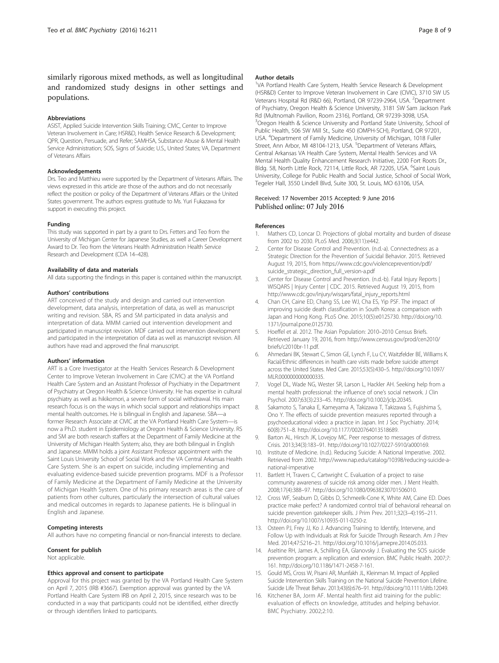<span id="page-7-0"></span>similarly rigorous mixed methods, as well as longitudinal and randomized study designs in other settings and populations.

#### Abbreviations

ASIST, Applied Suicide Intervention Skills Training; CIVIC, Center to Improve Veteran Involvement in Care; HSR&D, Health Service Research & Development; QPR, Question, Persuade, and Refer; SAMHSA, Substance Abuse & Mental Health Service Administration; SOS, Signs of Suicide; U.S., United States; VA, Department of Veterans Affairs

#### Acknowledgements

Drs. Teo and Matthieu were supported by the Department of Veterans Affairs. The views expressed in this article are those of the authors and do not necessarily reflect the position or policy of the Department of Veterans Affairs or the United States government. The authors express gratitude to Ms. Yuri Fukazawa for support in executing this project.

#### Funding

This study was supported in part by a grant to Drs. Fetters and Teo from the University of Michigan Center for Japanese Studies, as well a Career Development Award to Dr. Teo from the Veterans Health Administration Health Service Research and Development (CDA 14–428).

#### Availability of data and materials

All data supporting the findings in this paper is contained within the manuscript.

#### Authors' contributions

ART conceived of the study and design and carried out intervention development, data analysis, interpretation of data, as well as manuscript writing and revision. SBA, RS and SM participated in data analysis and interpretation of data. MMM carried out intervention development and participated in manuscript revision. MDF carried out intervention development and participated in the interpretation of data as well as manuscript revision. All authors have read and approved the final manuscript.

# Authors' information

ART is a Core Investigator at the Health Services Research & Development Center to Improve Veteran Involvement in Care (CIVIC) at the VA Portland Health Care System and an Assistant Professor of Psychiatry in the Department of Psychiatry at Oregon Health & Science University. He has expertise in cultural psychiatry as well as hikikomori, a severe form of social withdrawal. His main research focus is on the ways in which social support and relationships impact mental health outcomes. He is bilingual in English and Japanese. SBA—a former Research Associate at CIVIC at the VA Portland Health Care System—is now a Ph.D. student in Epidemiology at Oregon Health & Science University. RS and SM are both research staffers at the Department of Family Medicine at the University of Michigan Health System; also, they are both bilingual in English and Japanese. MMM holds a joint Assistant Professor appointment with the Saint Louis University School of Social Work and the VA Central Arkansas Health Care System. She is an expert on suicide, including implementing and evaluating evidence-based suicide prevention programs. MDF is a Professor of Family Medicine at the Department of Family Medicine at the University of Michigan Health System. One of his primary research areas is the care of patients from other cultures, particularly the intersection of cultural values and medical outcomes in regards to Japanese patients. He is bilingual in English and Japanese.

#### Competing interests

All authors have no competing financial or non-financial interests to declare.

## Consent for publish

Not applicable.

#### Ethics approval and consent to participate

Approval for this project was granted by the VA Portland Health Care System on April 7, 2015 (IRB #3667). Exemption approval was granted by the VA Portland Health Care System IRB on April 2, 2015, since research was to be conducted in a way that participants could not be identified, either directly or through identifiers linked to participants.

#### Author details

<sup>1</sup>VA Portland Health Care System, Health Service Research & Development (HSR&D) Center to Improve Veteran Involvement in Care (CIVIC), 3710 SW US Veterans Hospital Rd (R&D 66), Portland, OR 97239-2964, USA. <sup>2</sup>Department of Psychiatry, Oregon Health & Science University, 3181 SW Sam Jackson Park Rd (Multnomah Pavilion, Room 2316), Portland, OR 97239-3098, USA. <sup>3</sup>Oregon Health & Science University and Portland State University, School of Public Health, 506 SW Mill St., Suite 450 (OMPH-SCH), Portland, OR 97201, USA. <sup>4</sup> Department of Family Medicine, University of Michigan, 1018 Fuller Street, Ann Arbor, MI 48104-1213, USA. <sup>5</sup>Department of Veterans Affairs Central Arkansas VA Health Care System, Mental Health Services and VA Mental Health Quality Enhancement Research Initiative, 2200 Fort Roots Dr., Bldg. 58, North Little Rock, 72114, Little Rock, AR 72205, USA. <sup>6</sup>Saint Louis University, College for Public Health and Social Justice, School of Social Work, Tegeler Hall, 3550 Lindell Blvd, Suite 300, St. Louis, MO 63106, USA.

## Received: 17 November 2015 Accepted: 9 June 2016 Published online: 07 July 2016

#### References

- Mathers CD, Loncar D. Projections of global mortality and burden of disease from 2002 to 2030. PLoS Med. 2006;3(11):e442.
- 2. Center for Disease Control and Prevention. (n.d.-a). Connectedness as a Strategic Direction for the Prevention of Suicidal Behavior. 2015. Retrieved August 19, 2015, from [https://www.cdc.gov/violenceprevention/pdf/](https://www.cdc.gov/violenceprevention/pdf/suicide_strategic_direction_full_version-a.pdf) [suicide\\_strategic\\_direction\\_full\\_version-a.pdf](https://www.cdc.gov/violenceprevention/pdf/suicide_strategic_direction_full_version-a.pdf)
- 3. Center for Disease Control and Prevention. (n.d.-b). Fatal Injury Reports | WISQARS | Injury Center | CDC. 2015. Retrieved August 19, 2015, from [http://www.cdc.gov/injury/wisqars/fatal\\_injury\\_reports.html](http://www.cdc.gov/injury/wisqars/fatal_injury_reports.html)
- 4. Chan CH, Caine ED, Chang SS, Lee WJ, Cha ES, Yip PSF. The impact of improving suicide death classification in South Korea: a comparison with Japan and Hong Kong. PLoS One. 2015;10(5):e0125730. [http://doi.org/10.](http://doi.org/10.1371/journal.pone.0125730) [1371/journal.pone.0125730](http://doi.org/10.1371/journal.pone.0125730).
- 5. Hoeffel et al. 2012. The Asian Population: 2010–2010 Census Briefs. Retrieved January 19, 2016, from [http://www.census.gov/prod/cen2010/](http://www.census.gov/prod/cen2010/briefs/c2010br-11.pdf) [briefs/c2010br-11.pdf.](http://www.census.gov/prod/cen2010/briefs/c2010br-11.pdf)
- 6. Ahmedani BK, Stewart C, Simon GE, Lynch F, Lu CY, Waitzfelder BE, Williams K. Racial/Ethnic differences in health care visits made before suicide attempt across the United States. Med Care. 2015;53(5):430–5. [http://doi.org/10.1097/](http://doi.org/10.1097/MLR.0000000000000335) [MLR.0000000000000335](http://doi.org/10.1097/MLR.0000000000000335).
- 7. Vogel DL, Wade NG, Wester SR, Larson L, Hackler AH. Seeking help from a mental health professional: the influence of one's social network. J Clin Psychol. 2007;63(3):233–45.<http://doi.org/10.1002/jclp.20345>.
- 8. Sakamoto S, Tanaka E, Kameyama A, Takizawa T, Takizawa S, Fujishima S, Ono Y. The effects of suicide prevention measures reported through a psychoeducational video: a practice in Japan. Int J Soc Psychiatry. 2014; 60(8):751–8. [http://doi.org/10.1177/0020764013518689.](http://doi.org/10.1177/0020764013518689)
- Barton AL, Hirsch JK, Lovejoy MC. Peer response to messages of distress. Crisis. 2013;34(3):183–91.<http://doi.org/10.1027/0227-5910/a000169>.
- 10. Institute of Medicine. (n.d.). Reducing Suicide: A National Imperative. 2002. Retrieved from 2002. [http://www.nap.edu/catalog/10398/reducing-suicide-a](http://www.nap.edu/catalog/10398/reducing-suicide-a-national-imperative)[national-imperative](http://www.nap.edu/catalog/10398/reducing-suicide-a-national-imperative)
- 11. Bartlett H, Travers C, Cartwright C. Evaluation of a project to raise community awareness of suicide risk among older men. J Ment Health. 2008;17(4):388–97.<http://doi.org/10.1080/09638230701506010>.
- 12. Cross WF, Seaburn D, Gibbs D, Schmeelk-Cone K, White AM, Caine ED. Does practice make perfect? A randomized control trial of behavioral rehearsal on suicide prevention gatekeeper skills. J Prim Prev. 2011;32(3–4):195–211. [http://doi.org/10.1007/s10935-011-0250-z.](http://doi.org/10.1007/s10935-011-0250-z)
- 13. Osteen PJ, Frey JJ, Ko J. Advancing Training to Identify, Intervene, and Follow Up with Individuals at Risk for Suicide Through Research. Am J Prev Med. 2014;47:S216–21.<http://doi.org/10.1016/j.amepre.2014.05.033>.
- 14. Aseltine RH, James A, Schilling EA, Glanovsky J. Evaluating the SOS suicide prevention program: a replication and extension. BMC Public Health. 2007;7: 161.<http://doi.org/10.1186/1471-2458-7-161>.
- 15. Gould MS, Cross W, Pisani AR, Munfakh JL, Kleinman M. Impact of Applied Suicide Intervention Skills Training on the National Suicide Prevention Lifeline. Suicide Life Threat Behav. 2013;43(6):676–91. [http://doi.org/10.1111/sltb.12049.](http://doi.org/10.1111/sltb.12049)
- 16. Kitchener BA, Jorm AF. Mental health first aid training for the public: evaluation of effects on knowledge, attitudes and helping behavior. BMC Psychiatry. 2002;2:10.